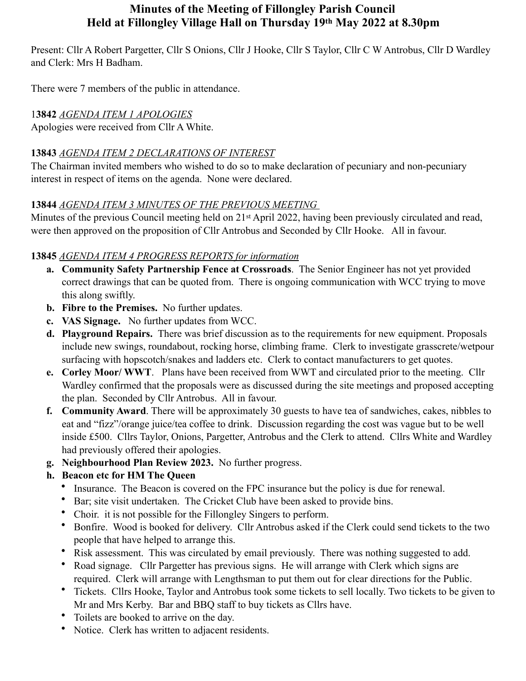# **Minutes of the Meeting of Fillongley Parish Council Held at Fillongley Village Hall on Thursday 19th May 2022 at 8.30pm**

Present: Cllr A Robert Pargetter, Cllr S Onions, Cllr J Hooke, Cllr S Taylor, Cllr C W Antrobus, Cllr D Wardley and Clerk: Mrs H Badham.

There were 7 members of the public in attendance.

# 1**3842** *AGENDA ITEM 1 APOLOGIES*

Apologies were received from Cllr A White.

#### **13843** *AGENDA ITEM 2 DECLARATIONS OF INTEREST*

The Chairman invited members who wished to do so to make declaration of pecuniary and non-pecuniary interest in respect of items on the agenda. None were declared.

#### **13844** *AGENDA ITEM 3 MINUTES OF THE PREVIOUS MEETING*

Minutes of the previous Council meeting held on 21<sup>st</sup> April 2022, having been previously circulated and read, were then approved on the proposition of Cllr Antrobus and Seconded by Cllr Hooke. All in favour.

## **13845** *AGENDA ITEM 4 PROGRESS REPORTS for information*

- **a. Community Safety Partnership Fence at Crossroads**. The Senior Engineer has not yet provided correct drawings that can be quoted from. There is ongoing communication with WCC trying to move this along swiftly.
- **b. Fibre to the Premises.** No further updates.
- **c. VAS Signage.** No further updates from WCC.
- **d. Playground Repairs.** There was brief discussion as to the requirements for new equipment. Proposals include new swings, roundabout, rocking horse, climbing frame. Clerk to investigate grasscrete/wetpour surfacing with hopscotch/snakes and ladders etc. Clerk to contact manufacturers to get quotes.
- **e. Corley Moor/ WWT**. Plans have been received from WWT and circulated prior to the meeting. Cllr Wardley confirmed that the proposals were as discussed during the site meetings and proposed accepting the plan. Seconded by Cllr Antrobus. All in favour.
- **f. Community Award**. There will be approximately 30 guests to have tea of sandwiches, cakes, nibbles to eat and "fizz"/orange juice/tea coffee to drink. Discussion regarding the cost was vague but to be well inside £500. Cllrs Taylor, Onions, Pargetter, Antrobus and the Clerk to attend. Cllrs White and Wardley had previously offered their apologies.
- **g. Neighbourhood Plan Review 2023.** No further progress.

## **h. Beacon etc for HM The Queen**

- Insurance. The Beacon is covered on the FPC insurance but the policy is due for renewal.
- Bar; site visit undertaken. The Cricket Club have been asked to provide bins.
- Choir. it is not possible for the Fillongley Singers to perform.
- Bonfire. Wood is booked for delivery. Cllr Antrobus asked if the Clerk could send tickets to the two people that have helped to arrange this.
- Risk assessment. This was circulated by email previously. There was nothing suggested to add.
- Road signage. Cllr Pargetter has previous signs. He will arrange with Clerk which signs are required. Clerk will arrange with Lengthsman to put them out for clear directions for the Public.
- Tickets. Cllrs Hooke, Taylor and Antrobus took some tickets to sell locally. Two tickets to be given to Mr and Mrs Kerby. Bar and BBQ staff to buy tickets as Cllrs have.
- Toilets are booked to arrive on the day.
- Notice. Clerk has written to adjacent residents.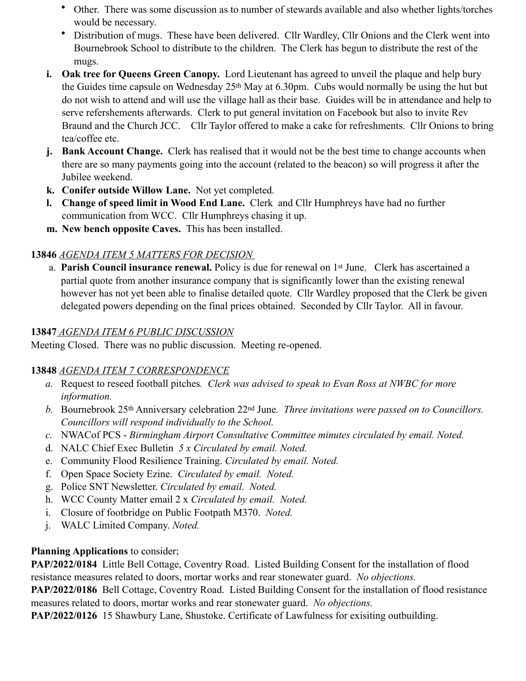- Other. There was some discussion as to number of stewards available and also whether lights/torches would be necessary.
- Distribution of mugs. These have been delivered. Cllr Wardley, Cllr Onions and the Clerk went into Bournebrook School to distribute to the children. The Clerk has begun to distribute the rest of the mugs.
- **i. Oak tree for Queens Green Canopy.** Lord Lieutenant has agreed to unveil the plaque and help bury the Guides time capsule on Wednesday 25th May at 6.30pm. Cubs would normally be using the hut but do not wish to attend and will use the village hall as their base. Guides will be in attendance and help to serve refershements afterwards. Clerk to put general invitation on Facebook but also to invite Rev Braund and the Church JCC. Cllr Taylor offered to make a cake for refreshments. Cllr Onions to bring tea/coffee etc.
- **j. Bank Account Change.** Clerk has realised that it would not be the best time to change accounts when there are so many payments going into the account (related to the beacon) so will progress it after the Jubilee weekend.
- **k. Conifer outside Willow Lane.** Not yet completed.
- **l. Change of speed limit in Wood End Lane.** Clerk and Cllr Humphreys have had no further communication from WCC. Cllr Humphreys chasing it up.
- **m. New bench opposite Caves.** This has been installed.

## **13846** *AGENDA ITEM 5 MATTERS FOR DECISION*

a. **Parish Council insurance renewal.** Policy is due for renewal on 1st June. Clerk has ascertained a partial quote from another insurance company that is significantly lower than the existing renewal however has not yet been able to finalise detailed quote. Cllr Wardley proposed that the Clerk be given delegated powers depending on the final prices obtained. Seconded by Cllr Taylor. All in favour.

#### **13847** *AGENDA ITEM 6 PUBLIC DISCUSSION*

Meeting Closed. There was no public discussion. Meeting re-opened.

## **13848** *AGENDA ITEM 7 CORRESPONDENCE*

- *a.* Request to reseed football pitches*. Clerk was advised to speak to Evan Ross at NWBC for more information.*
- *b.* Bournebrook 25th Anniversary celebration 22nd June*. Three invitations were passed on to Councillors. Councillors will respond individually to the School.*
- *c.* NWACof PCS *Birmingham Airport Consultative Committee minutes circulated by email. Noted.*
- d. NALC Chief Exec Bulletin *5 x Circulated by email. Noted.*
- e. Community Flood Resilience Training. *Circulated by email. Noted.*
- f. Open Space Society Ezine. *Circulated by email. Noted.*
- g. Police SNT Newsletter. *Circulated by email. Noted.*
- h. WCC County Matter email 2 x *Circulated by email. Noted.*
- i. Closure of footbridge on Public Footpath M370. *Noted.*
- j. WALC Limited Company. *Noted.*

## **Planning Applications** to consider;

**PAP/2022/0184** Little Bell Cottage, Coventry Road. Listed Building Consent for the installation of flood resistance measures related to doors, mortar works and rear stonewater guard. *No objections.*

**PAP/2022/0186** Bell Cottage, Coventry Road. Listed Building Consent for the installation of flood resistance measures related to doors, mortar works and rear stonewater guard. *No objections.*

**PAP/2022/0126** 15 Shawbury Lane, Shustoke. Certificate of Lawfulness for exisiting outbuilding.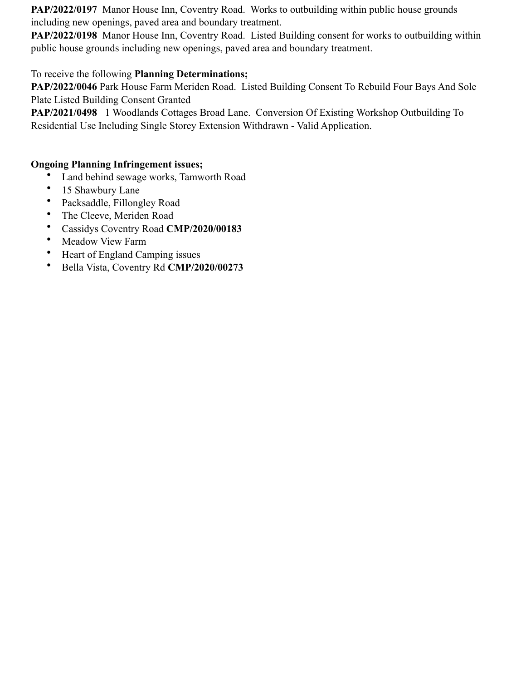**PAP/2022/0197** Manor House Inn, Coventry Road. Works to outbuilding within public house grounds including new openings, paved area and boundary treatment.

**PAP/2022/0198** Manor House Inn, Coventry Road. Listed Building consent for works to outbuilding within public house grounds including new openings, paved area and boundary treatment.

#### To receive the following **Planning Determinations;**

**PAP/2022/0046** Park House Farm Meriden Road. Listed Building Consent To Rebuild Four Bays And Sole Plate Listed Building Consent Granted

**PAP/2021/0498** 1 Woodlands Cottages Broad Lane. Conversion Of Existing Workshop Outbuilding To Residential Use Including Single Storey Extension Withdrawn - Valid Application.

#### **Ongoing Planning Infringement issues;**

- Land behind sewage works, Tamworth Road
- 15 Shawbury Lane
- Packsaddle, Fillongley Road
- The Cleeve, Meriden Road
- Cassidys Coventry Road **CMP/2020/00183**
- Meadow View Farm
- Heart of England Camping issues
- Bella Vista, Coventry Rd **CMP/2020/00273**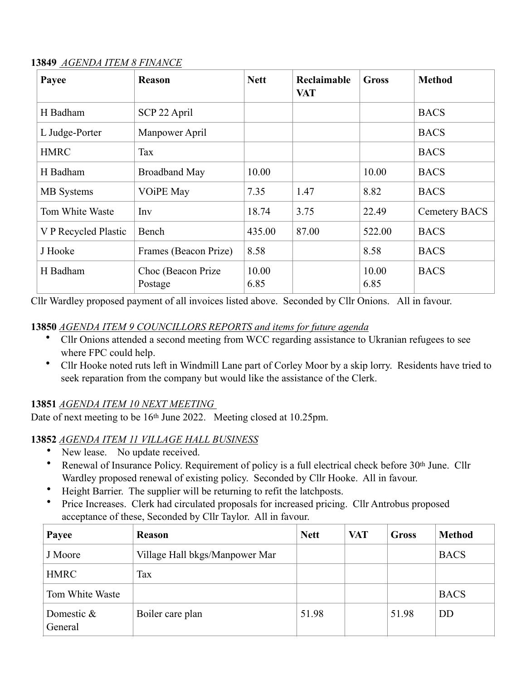#### **13849** *AGENDA ITEM 8 FINANCE*

| Payee                | <b>Reason</b>                  | <b>Nett</b>   | Reclaimable<br><b>VAT</b> | <b>Gross</b>  | <b>Method</b> |
|----------------------|--------------------------------|---------------|---------------------------|---------------|---------------|
| H Badham             | SCP 22 April                   |               |                           |               | <b>BACS</b>   |
| L Judge-Porter       | Manpower April                 |               |                           |               | <b>BACS</b>   |
| <b>HMRC</b>          | Tax                            |               |                           |               | <b>BACS</b>   |
| H Badham             | <b>Broadband May</b>           | 10.00         |                           | 10.00         | <b>BACS</b>   |
| <b>MB</b> Systems    | <b>VOIPE May</b>               | 7.35          | 1.47                      | 8.82          | <b>BACS</b>   |
| Tom White Waste      | Inv                            | 18.74         | 3.75                      | 22.49         | Cemetery BACS |
| V P Recycled Plastic | Bench                          | 435.00        | 87.00                     | 522.00        | <b>BACS</b>   |
| J Hooke              | Frames (Beacon Prize)          | 8.58          |                           | 8.58          | <b>BACS</b>   |
| H Badham             | Choc (Beacon Prize)<br>Postage | 10.00<br>6.85 |                           | 10.00<br>6.85 | <b>BACS</b>   |

Cllr Wardley proposed payment of all invoices listed above. Seconded by Cllr Onions. All in favour.

#### **13850** *AGENDA ITEM 9 COUNCILLORS REPORTS and items for future agenda*

- Cllr Onions attended a second meeting from WCC regarding assistance to Ukranian refugees to see where FPC could help.
- Cllr Hooke noted ruts left in Windmill Lane part of Corley Moor by a skip lorry. Residents have tried to seek reparation from the company but would like the assistance of the Clerk.

## **13851** *AGENDA ITEM 10 NEXT MEETING*

Date of next meeting to be 16th June 2022. Meeting closed at 10.25pm.

#### **13852** *AGENDA ITEM 11 VILLAGE HALL BUSINESS*

- New lease. No update received.
- Renewal of Insurance Policy. Requirement of policy is a full electrical check before 30th June. Cllr Wardley proposed renewal of existing policy. Seconded by Cllr Hooke. All in favour.
- Height Barrier. The supplier will be returning to refit the latchposts.
- Price Increases. Clerk had circulated proposals for increased pricing. Cllr Antrobus proposed acceptance of these, Seconded by Cllr Taylor. All in favour.

| Payee                 | <b>Reason</b>                  | <b>Nett</b> | <b>VAT</b> | <b>Gross</b> | <b>Method</b> |
|-----------------------|--------------------------------|-------------|------------|--------------|---------------|
| J Moore               | Village Hall bkgs/Manpower Mar |             |            |              | <b>BACS</b>   |
| <b>HMRC</b>           | Tax                            |             |            |              |               |
| Tom White Waste       |                                |             |            |              | <b>BACS</b>   |
| Domestic &<br>General | Boiler care plan               | 51.98       |            | 51.98        | DD            |